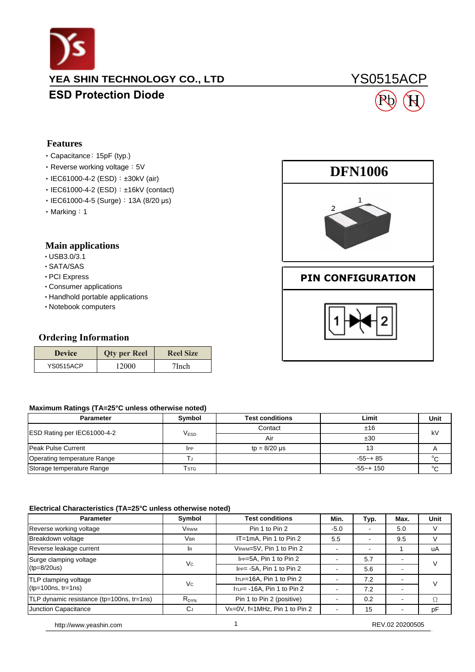

### **YEA SHIN TECHNOLOGY CO., LTD**

### **ESD Protection Diode**

# YS0515ACP



### **Features**

#### ‧Capacitance:15pF (typ.)

- Reverse working voltage: 5V
- IEC61000-4-2 (ESD): ±30kV (air)
- IEC61000-4-2 (ESD): ±16kV (contact)
- IEC61000-4-5 (Surge): 13A (8/20 μs)
- Marking: 1

#### **Main applications**

- ‧USB3.0/3.1
- ‧SATA/SAS
- ‧PCI Express
- ‧Consumer applications
- ‧Handhold portable applications
- ‧Notebook computers

|                                  | • IEC61000-4-5 (Surge): 13A (8/20 µs) |                  |   |
|----------------------------------|---------------------------------------|------------------|---|
| $\cdot$ Marking : 1              |                                       |                  |   |
|                                  |                                       |                  |   |
| <b>Main applications</b>         |                                       |                  |   |
| $\cdot$ USB3.0/3.1               |                                       |                  |   |
| · SATA/SAS                       |                                       |                  |   |
| · PCI Express                    |                                       |                  | Р |
| • Consumer applications          |                                       |                  |   |
| • Handhold portable applications |                                       |                  |   |
| • Notebook computers             |                                       |                  |   |
|                                  |                                       |                  |   |
| <b>Ordering Information</b>      |                                       |                  |   |
| <b>Device</b>                    | <b>Qty per Reel</b>                   | <b>Reel Size</b> |   |
| <b>YS0515ACP</b>                 | 12000                                 | 7Inch            |   |
|                                  |                                       |                  |   |
|                                  |                                       |                  |   |

#### **Maximum Ratings (TA=25°C unless otherwise noted)**

| <b>Parameter</b>            | <b>Symbol</b>    | <b>Test conditions</b> | Limit         | Unit   |  |
|-----------------------------|------------------|------------------------|---------------|--------|--|
|                             |                  | Contact                | ±16           | kV     |  |
| ESD Rating per IEC61000-4-2 | V <sub>ESD</sub> | Air                    | ±30           |        |  |
| Peak Pulse Current          | IPP              | $tp = 8/20 \mu s$      | 13            |        |  |
| Operating temperature Range |                  |                        | $-55-$ 85     | °C     |  |
| Storage temperature Range   | Tstg             |                        | $-55 - + 150$ | $\sim$ |  |

#### **Electrical Characteristics (TA=25°C unless otherwise noted)**

| <b>Parameter</b>                          | Symbol      | <b>Test conditions</b>         | Min.   | Typ. | Max. | Unit          |
|-------------------------------------------|-------------|--------------------------------|--------|------|------|---------------|
| Reverse working voltage                   | <b>VRWM</b> | Pin 1 to Pin 2                 | $-5.0$ |      | 5.0  | V             |
| Breakdown voltage                         | <b>VBR</b>  | IT=1mA, Pin 1 to Pin 2         | 5.5    |      | 9.5  | V             |
| Reverse leakage current                   | <b>IR</b>   | VRWM=5V, Pin 1 to Pin 2        |        |      |      | uA            |
| Surge clamping voltage                    | Vc          | IPP=5A, Pin 1 to Pin 2         |        | 5.7  |      | $\mathcal{U}$ |
| $(tp=8/20us)$                             |             | IPP= -5A, Pin 1 to Pin 2       |        | 5.6  |      |               |
| TLP clamping voltage                      | Vc          | ITLP=16A, Pin 1 to Pin 2       |        | 7.2  |      | $\vee$        |
| $(tp=100ns, tr=1ns)$                      |             | $IrLP = -16A$ , Pin 1 to Pin 2 |        | 7.2  |      |               |
| TLP dynamic resistance (tp=100ns, tr=1ns) | $R_{DYN}$   | Pin 1 to Pin 2 (positive)      |        | 0.2  |      | Ω             |
| Junction Capacitance                      | СJ          | VR=0V, f=1MHz, Pin 1 to Pin 2  |        | 15   |      | pF            |





### **PIN CONFIGURATION**

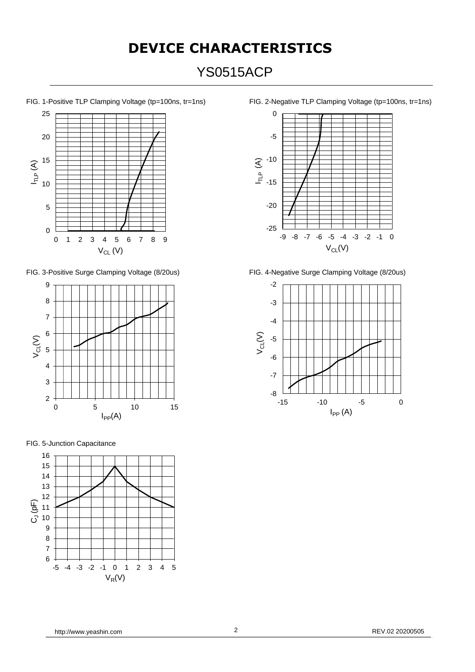# **DEVICE CHARACTERISTICS** YS0515ACP





FIG. 5-Junction Capacitance



FIG. 1-Positive TLP Clamping Voltage (tp=100ns, tr=1ns) FIG. 2-Negative TLP Clamping Voltage (tp=100ns, tr=1ns)



FIG. 3-Positive Surge Clamping Voltage (8/20us) FIG. 4-Negative Surge Clamping Voltage (8/20us)